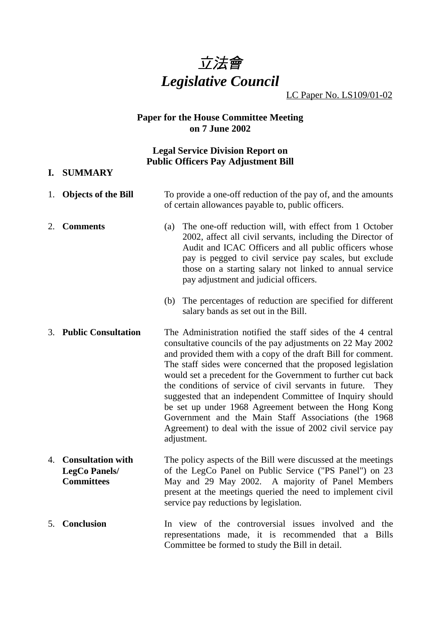

LC Paper No. LS109/01-02

## **Paper for the House Committee Meeting on 7 June 2002**

# **Legal Service Division Report on Public Officers Pay Adjustment Bill**

#### **I. SUMMARY**

| 1. | <b>Objects of the Bill</b>                                            | To provide a one-off reduction of the pay of, and the amounts<br>of certain allowances payable to, public officers.                                                                                                                                                                                                                                                                                                                                                                                                                                                                                                                                      |
|----|-----------------------------------------------------------------------|----------------------------------------------------------------------------------------------------------------------------------------------------------------------------------------------------------------------------------------------------------------------------------------------------------------------------------------------------------------------------------------------------------------------------------------------------------------------------------------------------------------------------------------------------------------------------------------------------------------------------------------------------------|
| 2. | <b>Comments</b>                                                       | The one-off reduction will, with effect from 1 October<br>(a)<br>2002, affect all civil servants, including the Director of<br>Audit and ICAC Officers and all public officers whose<br>pay is pegged to civil service pay scales, but exclude<br>those on a starting salary not linked to annual service<br>pay adjustment and judicial officers.                                                                                                                                                                                                                                                                                                       |
|    |                                                                       | (b) The percentages of reduction are specified for different<br>salary bands as set out in the Bill.                                                                                                                                                                                                                                                                                                                                                                                                                                                                                                                                                     |
| 3. | <b>Public Consultation</b>                                            | The Administration notified the staff sides of the 4 central<br>consultative councils of the pay adjustments on 22 May 2002<br>and provided them with a copy of the draft Bill for comment.<br>The staff sides were concerned that the proposed legislation<br>would set a precedent for the Government to further cut back<br>the conditions of service of civil servants in future.<br>They<br>suggested that an independent Committee of Inquiry should<br>be set up under 1968 Agreement between the Hong Kong<br>Government and the Main Staff Associations (the 1968<br>Agreement) to deal with the issue of 2002 civil service pay<br>adjustment. |
| 4. | <b>Consultation with</b><br><b>LegCo Panels/</b><br><b>Committees</b> | The policy aspects of the Bill were discussed at the meetings<br>of the LegCo Panel on Public Service ("PS Panel") on 23<br>May and 29 May 2002. A majority of Panel Members<br>present at the meetings queried the need to implement civil<br>service pay reductions by legislation.                                                                                                                                                                                                                                                                                                                                                                    |

5. **Conclusion** In view of the controversial issues involved and the representations made, it is recommended that a Bills Committee be formed to study the Bill in detail.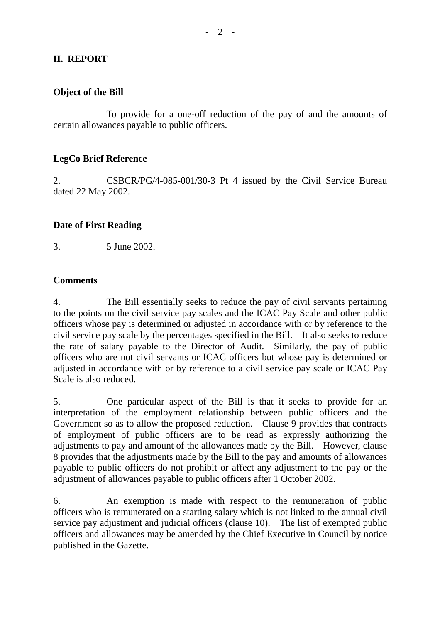# **II. REPORT**

## **Object of the Bill**

To provide for a one-off reduction of the pay of and the amounts of certain allowances payable to public officers.

## **LegCo Brief Reference**

2. CSBCR/PG/4-085-001/30-3 Pt 4 issued by the Civil Service Bureau dated 22 May 2002.

### **Date of First Reading**

3. 5 June 2002.

### **Comments**

4. The Bill essentially seeks to reduce the pay of civil servants pertaining to the points on the civil service pay scales and the ICAC Pay Scale and other public officers whose pay is determined or adjusted in accordance with or by reference to the civil service pay scale by the percentages specified in the Bill. It also seeks to reduce the rate of salary payable to the Director of Audit. Similarly, the pay of public officers who are not civil servants or ICAC officers but whose pay is determined or adjusted in accordance with or by reference to a civil service pay scale or ICAC Pay Scale is also reduced.

5. One particular aspect of the Bill is that it seeks to provide for an interpretation of the employment relationship between public officers and the Government so as to allow the proposed reduction. Clause 9 provides that contracts of employment of public officers are to be read as expressly authorizing the adjustments to pay and amount of the allowances made by the Bill. However, clause 8 provides that the adjustments made by the Bill to the pay and amounts of allowances payable to public officers do not prohibit or affect any adjustment to the pay or the adjustment of allowances payable to public officers after 1 October 2002.

6. An exemption is made with respect to the remuneration of public officers who is remunerated on a starting salary which is not linked to the annual civil service pay adjustment and judicial officers (clause 10). The list of exempted public officers and allowances may be amended by the Chief Executive in Council by notice published in the Gazette.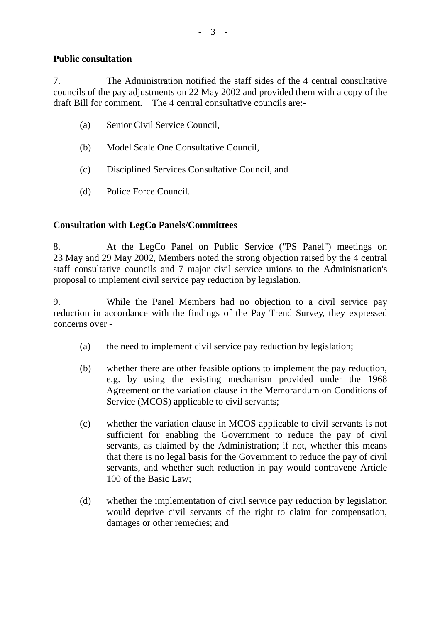## **Public consultation**

7. The Administration notified the staff sides of the 4 central consultative councils of the pay adjustments on 22 May 2002 and provided them with a copy of the draft Bill for comment. The 4 central consultative councils are:-

- (a) Senior Civil Service Council,
- (b) Model Scale One Consultative Council,
- (c) Disciplined Services Consultative Council, and
- (d) Police Force Council.

## **Consultation with LegCo Panels/Committees**

8. At the LegCo Panel on Public Service ("PS Panel") meetings on 23 May and 29 May 2002, Members noted the strong objection raised by the 4 central staff consultative councils and 7 major civil service unions to the Administration's proposal to implement civil service pay reduction by legislation.

9. While the Panel Members had no objection to a civil service pay reduction in accordance with the findings of the Pay Trend Survey, they expressed concerns over -

- (a) the need to implement civil service pay reduction by legislation;
- (b) whether there are other feasible options to implement the pay reduction, e.g. by using the existing mechanism provided under the 1968 Agreement or the variation clause in the Memorandum on Conditions of Service (MCOS) applicable to civil servants;
- (c) whether the variation clause in MCOS applicable to civil servants is not sufficient for enabling the Government to reduce the pay of civil servants, as claimed by the Administration; if not, whether this means that there is no legal basis for the Government to reduce the pay of civil servants, and whether such reduction in pay would contravene Article 100 of the Basic Law;
- (d) whether the implementation of civil service pay reduction by legislation would deprive civil servants of the right to claim for compensation, damages or other remedies; and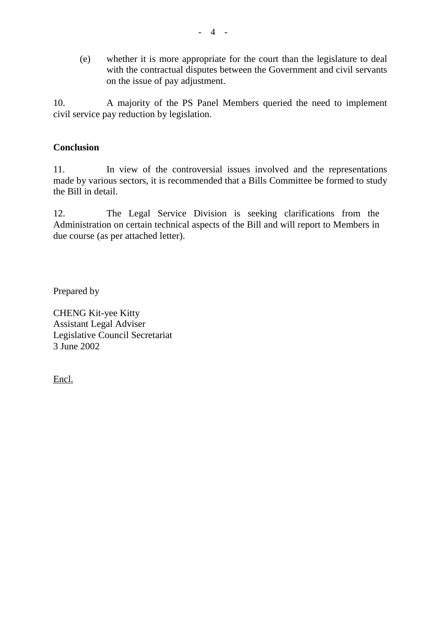(e) whether it is more appropriate for the court than the legislature to deal with the contractual disputes between the Government and civil servants on the issue of pay adjustment.

10. A majority of the PS Panel Members queried the need to implement civil service pay reduction by legislation.

### **Conclusion**

11. In view of the controversial issues involved and the representations made by various sectors, it is recommended that a Bills Committee be formed to study the Bill in detail.

12. The Legal Service Division is seeking clarifications from the Administration on certain technical aspects of the Bill and will report to Members in due course (as per attached letter).

Prepared by

CHENG Kit-yee Kitty Assistant Legal Adviser Legislative Council Secretariat 3 June 2002

Encl.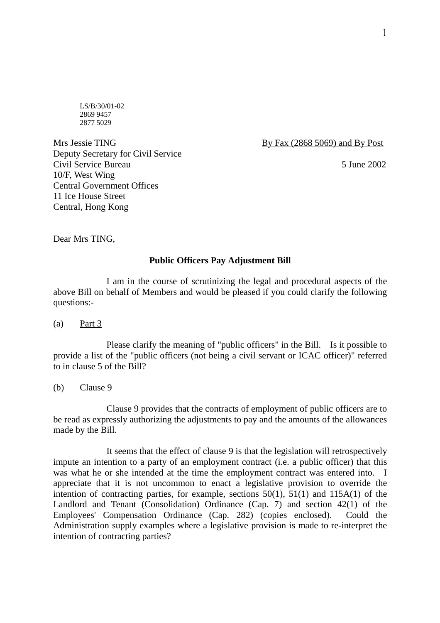LS/B/30/01-02 2869 9457 2877 5029

Mrs Jessie TING By Fax (2868 5069) and By Post Deputy Secretary for Civil Service Civil Service Bureau 5 June 2002 10/F, West Wing Central Government Offices 11 Ice House Street Central, Hong Kong

Dear Mrs TING,

#### **Public Officers Pay Adjustment Bill**

I am in the course of scrutinizing the legal and procedural aspects of the above Bill on behalf of Members and would be pleased if you could clarify the following questions:-

(a) Part 3

Please clarify the meaning of "public officers" in the Bill. Is it possible to provide a list of the "public officers (not being a civil servant or ICAC officer)" referred to in clause 5 of the Bill?

(b) Clause 9

Clause 9 provides that the contracts of employment of public officers are to be read as expressly authorizing the adjustments to pay and the amounts of the allowances made by the Bill.

It seems that the effect of clause 9 is that the legislation will retrospectively impute an intention to a party of an employment contract (i.e. a public officer) that this was what he or she intended at the time the employment contract was entered into. I appreciate that it is not uncommon to enact a legislative provision to override the intention of contracting parties, for example, sections 50(1), 51(1) and 115A(1) of the Landlord and Tenant (Consolidation) Ordinance (Cap. 7) and section 42(1) of the Employees' Compensation Ordinance (Cap. 282) (copies enclosed). Could the Administration supply examples where a legislative provision is made to re-interpret the intention of contracting parties?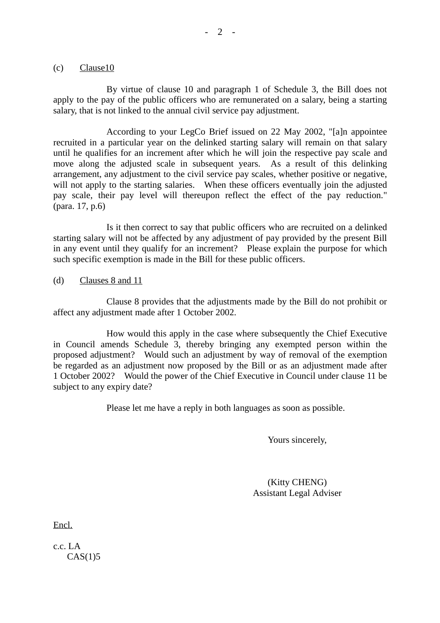#### (c) Clause10

By virtue of clause 10 and paragraph 1 of Schedule 3, the Bill does not apply to the pay of the public officers who are remunerated on a salary, being a starting salary, that is not linked to the annual civil service pay adjustment.

According to your LegCo Brief issued on 22 May 2002, "[a]n appointee recruited in a particular year on the delinked starting salary will remain on that salary until he qualifies for an increment after which he will join the respective pay scale and move along the adjusted scale in subsequent years. As a result of this delinking arrangement, any adjustment to the civil service pay scales, whether positive or negative, will not apply to the starting salaries. When these officers eventually join the adjusted pay scale, their pay level will thereupon reflect the effect of the pay reduction." (para. 17, p.6)

Is it then correct to say that public officers who are recruited on a delinked starting salary will not be affected by any adjustment of pay provided by the present Bill in any event until they qualify for an increment? Please explain the purpose for which such specific exemption is made in the Bill for these public officers.

(d) Clauses 8 and 11

Clause 8 provides that the adjustments made by the Bill do not prohibit or affect any adjustment made after 1 October 2002.

How would this apply in the case where subsequently the Chief Executive in Council amends Schedule 3, thereby bringing any exempted person within the proposed adjustment? Would such an adjustment by way of removal of the exemption be regarded as an adjustment now proposed by the Bill or as an adjustment made after 1 October 2002? Would the power of the Chief Executive in Council under clause 11 be subject to any expiry date?

Please let me have a reply in both languages as soon as possible.

Yours sincerely,

(Kitty CHENG) Assistant Legal Adviser

Encl.

c.c. LA  $CAS(1)5$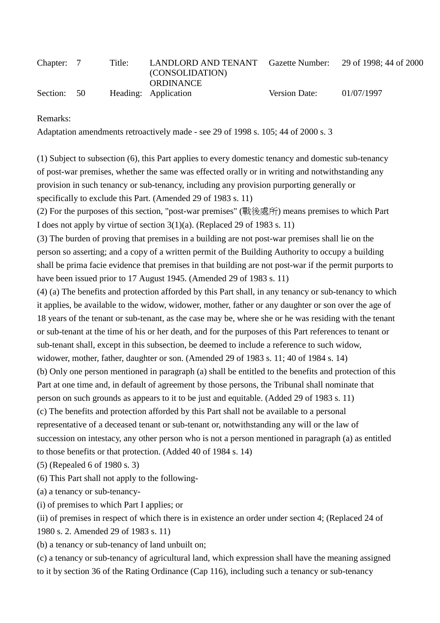| Chapter: 7 |      | Title: | LANDLORD AND TENANT<br>(CONSOLIDATION)<br>ORDINANCE | Gazette Number: | 29 of 1998; 44 of 2000 |
|------------|------|--------|-----------------------------------------------------|-----------------|------------------------|
| Section:   | - 50 |        | Heading: Application                                | Version Date:   | 01/07/1997             |

Remarks:

Adaptation amendments retroactively made - see 29 of 1998 s. 105; 44 of 2000 s. 3

(1) Subject to subsection (6), this Part applies to every domestic tenancy and domestic sub-tenancy of post-war premises, whether the same was effected orally or in writing and notwithstanding any provision in such tenancy or sub-tenancy, including any provision purporting generally or specifically to exclude this Part. (Amended 29 of 1983 s. 11)

(2) For the purposes of this section, "post-war premises" (戰後處所) means premises to which Part I does not apply by virtue of section 3(1)(a). (Replaced 29 of 1983 s. 11)

(3) The burden of proving that premises in a building are not post-war premises shall lie on the person so asserting; and a copy of a written permit of the Building Authority to occupy a building shall be prima facie evidence that premises in that building are not post-war if the permit purports to have been issued prior to 17 August 1945. (Amended 29 of 1983 s. 11)

(4) (a) The benefits and protection afforded by this Part shall, in any tenancy or sub-tenancy to which it applies, be available to the widow, widower, mother, father or any daughter or son over the age of 18 years of the tenant or sub-tenant, as the case may be, where she or he was residing with the tenant or sub-tenant at the time of his or her death, and for the purposes of this Part references to tenant or sub-tenant shall, except in this subsection, be deemed to include a reference to such widow, widower, mother, father, daughter or son. (Amended 29 of 1983 s. 11; 40 of 1984 s. 14)

(b) Only one person mentioned in paragraph (a) shall be entitled to the benefits and protection of this Part at one time and, in default of agreement by those persons, the Tribunal shall nominate that person on such grounds as appears to it to be just and equitable. (Added 29 of 1983 s. 11)

(c) The benefits and protection afforded by this Part shall not be available to a personal representative of a deceased tenant or sub-tenant or, notwithstanding any will or the law of

succession on intestacy, any other person who is not a person mentioned in paragraph (a) as entitled to those benefits or that protection. (Added 40 of 1984 s. 14)

(5) (Repealed 6 of 1980 s. 3)

(6) This Part shall not apply to the following-

(a) a tenancy or sub-tenancy-

- (i) of premises to which Part I applies; or
- (ii) of premises in respect of which there is in existence an order under section 4; (Replaced 24 of

1980 s. 2. Amended 29 of 1983 s. 11)

(b) a tenancy or sub-tenancy of land unbuilt on;

(c) a tenancy or sub-tenancy of agricultural land, which expression shall have the meaning assigned to it by section 36 of the Rating Ordinance (Cap 116), including such a tenancy or sub-tenancy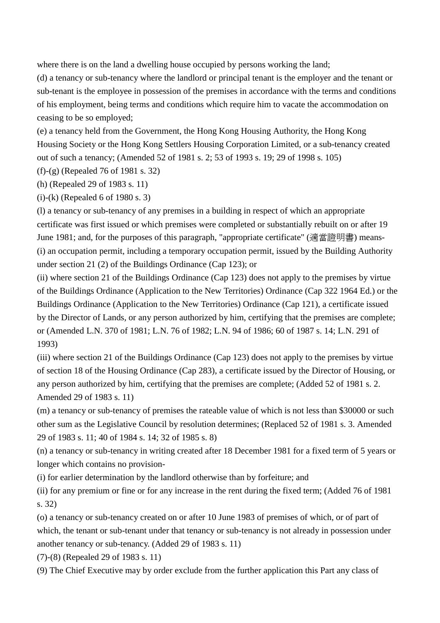where there is on the land a dwelling house occupied by persons working the land;

(d) a tenancy or sub-tenancy where the landlord or principal tenant is the employer and the tenant or sub-tenant is the employee in possession of the premises in accordance with the terms and conditions of his employment, being terms and conditions which require him to vacate the accommodation on ceasing to be so employed;

(e) a tenancy held from the Government, the Hong Kong Housing Authority, the Hong Kong Housing Society or the Hong Kong Settlers Housing Corporation Limited, or a sub-tenancy created out of such a tenancy; (Amended 52 of 1981 s. 2; 53 of 1993 s. 19; 29 of 1998 s. 105)

(f)-(g) (Repealed 76 of 1981 s. 32)

(h) (Repealed 29 of 1983 s. 11)

(i)-(k) (Repealed 6 of 1980 s. 3)

(l) a tenancy or sub-tenancy of any premises in a building in respect of which an appropriate certificate was first issued or which premises were completed or substantially rebuilt on or after 19 June 1981; and, for the purposes of this paragraph, "appropriate certificate" (適當證明書) means- (i) an occupation permit, including a temporary occupation permit, issued by the Building Authority under section 21 (2) of the Buildings Ordinance (Cap 123); or

(ii) where section 21 of the Buildings Ordinance (Cap 123) does not apply to the premises by virtue of the Buildings Ordinance (Application to the New Territories) Ordinance (Cap 322 1964 Ed.) or the Buildings Ordinance (Application to the New Territories) Ordinance (Cap 121), a certificate issued by the Director of Lands, or any person authorized by him, certifying that the premises are complete; or (Amended L.N. 370 of 1981; L.N. 76 of 1982; L.N. 94 of 1986; 60 of 1987 s. 14; L.N. 291 of 1993)

(iii) where section 21 of the Buildings Ordinance (Cap 123) does not apply to the premises by virtue of section 18 of the Housing Ordinance (Cap 283), a certificate issued by the Director of Housing, or any person authorized by him, certifying that the premises are complete; (Added 52 of 1981 s. 2. Amended 29 of 1983 s. 11)

(m) a tenancy or sub-tenancy of premises the rateable value of which is not less than \$30000 or such other sum as the Legislative Council by resolution determines; (Replaced 52 of 1981 s. 3. Amended 29 of 1983 s. 11; 40 of 1984 s. 14; 32 of 1985 s. 8)

(n) a tenancy or sub-tenancy in writing created after 18 December 1981 for a fixed term of 5 years or longer which contains no provision-

(i) for earlier determination by the landlord otherwise than by forfeiture; and

(ii) for any premium or fine or for any increase in the rent during the fixed term; (Added 76 of 1981 s. 32)

(o) a tenancy or sub-tenancy created on or after 10 June 1983 of premises of which, or of part of which, the tenant or sub-tenant under that tenancy or sub-tenancy is not already in possession under another tenancy or sub-tenancy. (Added 29 of 1983 s. 11)

(7)-(8) (Repealed 29 of 1983 s. 11)

(9) The Chief Executive may by order exclude from the further application this Part any class of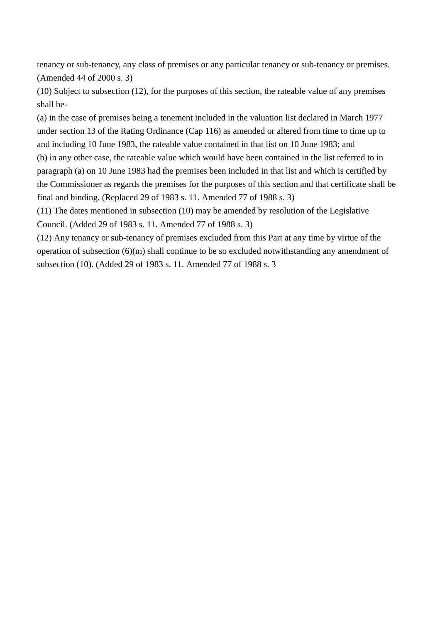tenancy or sub-tenancy, any class of premises or any particular tenancy or sub-tenancy or premises. (Amended 44 of 2000 s. 3)

(10) Subject to subsection (12), for the purposes of this section, the rateable value of any premises shall be-

(a) in the case of premises being a tenement included in the valuation list declared in March 1977 under section 13 of the Rating Ordinance (Cap 116) as amended or altered from time to time up to and including 10 June 1983, the rateable value contained in that list on 10 June 1983; and (b) in any other case, the rateable value which would have been contained in the list referred to in paragraph (a) on 10 June 1983 had the premises been included in that list and which is certified by the Commissioner as regards the premises for the purposes of this section and that certificate shall be final and binding. (Replaced 29 of 1983 s. 11. Amended 77 of 1988 s. 3)

(11) The dates mentioned in subsection (10) may be amended by resolution of the Legislative Council. (Added 29 of 1983 s. 11. Amended 77 of 1988 s. 3)

(12) Any tenancy or sub-tenancy of premises excluded from this Part at any time by virtue of the operation of subsection (6)(m) shall continue to be so excluded notwithstanding any amendment of subsection (10). (Added 29 of 1983 s. 11. Amended 77 of 1988 s. 3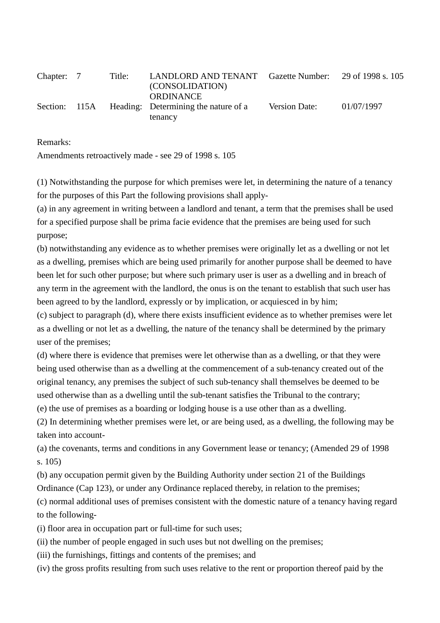| Chapter: 7    | Title: | LANDLORD AND TENANT<br>(CONSOLIDATION)                   | Gazette Number: 29 of 1998 s. 105 |            |
|---------------|--------|----------------------------------------------------------|-----------------------------------|------------|
| Section: 115A |        | <b>ORDINANCE</b><br>Heading: Determining the nature of a | Version Date:                     | 01/07/1997 |
|               |        | tenancy                                                  |                                   |            |

Remarks:

Amendments retroactively made - see 29 of 1998 s. 105

(1) Notwithstanding the purpose for which premises were let, in determining the nature of a tenancy for the purposes of this Part the following provisions shall apply-

(a) in any agreement in writing between a landlord and tenant, a term that the premises shall be used for a specified purpose shall be prima facie evidence that the premises are being used for such purpose;

(b) notwithstanding any evidence as to whether premises were originally let as a dwelling or not let as a dwelling, premises which are being used primarily for another purpose shall be deemed to have been let for such other purpose; but where such primary user is user as a dwelling and in breach of any term in the agreement with the landlord, the onus is on the tenant to establish that such user has been agreed to by the landlord, expressly or by implication, or acquiesced in by him;

(c) subject to paragraph (d), where there exists insufficient evidence as to whether premises were let as a dwelling or not let as a dwelling, the nature of the tenancy shall be determined by the primary user of the premises;

(d) where there is evidence that premises were let otherwise than as a dwelling, or that they were being used otherwise than as a dwelling at the commencement of a sub-tenancy created out of the original tenancy, any premises the subject of such sub-tenancy shall themselves be deemed to be used otherwise than as a dwelling until the sub-tenant satisfies the Tribunal to the contrary;

(e) the use of premises as a boarding or lodging house is a use other than as a dwelling.

(2) In determining whether premises were let, or are being used, as a dwelling, the following may be taken into account-

(a) the covenants, terms and conditions in any Government lease or tenancy; (Amended 29 of 1998 s. 105)

(b) any occupation permit given by the Building Authority under section 21 of the Buildings Ordinance (Cap 123), or under any Ordinance replaced thereby, in relation to the premises;

(c) normal additional uses of premises consistent with the domestic nature of a tenancy having regard to the following-

(i) floor area in occupation part or full-time for such uses;

(ii) the number of people engaged in such uses but not dwelling on the premises;

(iii) the furnishings, fittings and contents of the premises; and

(iv) the gross profits resulting from such uses relative to the rent or proportion thereof paid by the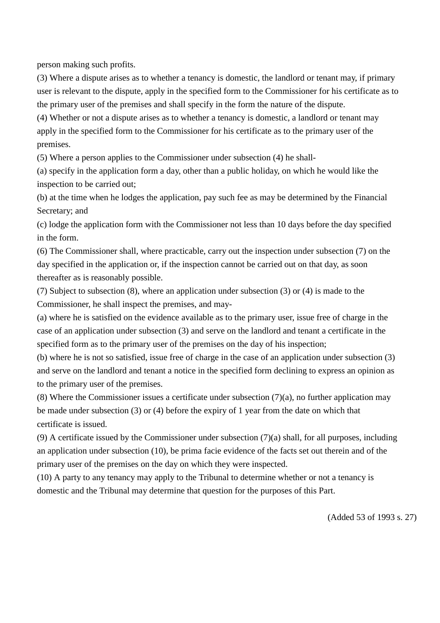person making such profits.

(3) Where a dispute arises as to whether a tenancy is domestic, the landlord or tenant may, if primary user is relevant to the dispute, apply in the specified form to the Commissioner for his certificate as to the primary user of the premises and shall specify in the form the nature of the dispute.

(4) Whether or not a dispute arises as to whether a tenancy is domestic, a landlord or tenant may apply in the specified form to the Commissioner for his certificate as to the primary user of the premises.

(5) Where a person applies to the Commissioner under subsection (4) he shall-

(a) specify in the application form a day, other than a public holiday, on which he would like the inspection to be carried out;

(b) at the time when he lodges the application, pay such fee as may be determined by the Financial Secretary; and

(c) lodge the application form with the Commissioner not less than 10 days before the day specified in the form.

(6) The Commissioner shall, where practicable, carry out the inspection under subsection (7) on the day specified in the application or, if the inspection cannot be carried out on that day, as soon thereafter as is reasonably possible.

(7) Subject to subsection (8), where an application under subsection (3) or (4) is made to the Commissioner, he shall inspect the premises, and may-

(a) where he is satisfied on the evidence available as to the primary user, issue free of charge in the case of an application under subsection (3) and serve on the landlord and tenant a certificate in the specified form as to the primary user of the premises on the day of his inspection;

(b) where he is not so satisfied, issue free of charge in the case of an application under subsection (3) and serve on the landlord and tenant a notice in the specified form declining to express an opinion as to the primary user of the premises.

(8) Where the Commissioner issues a certificate under subsection  $(7)(a)$ , no further application may be made under subsection (3) or (4) before the expiry of 1 year from the date on which that certificate is issued.

(9) A certificate issued by the Commissioner under subsection (7)(a) shall, for all purposes, including an application under subsection (10), be prima facie evidence of the facts set out therein and of the primary user of the premises on the day on which they were inspected.

(10) A party to any tenancy may apply to the Tribunal to determine whether or not a tenancy is domestic and the Tribunal may determine that question for the purposes of this Part.

(Added 53 of 1993 s. 27)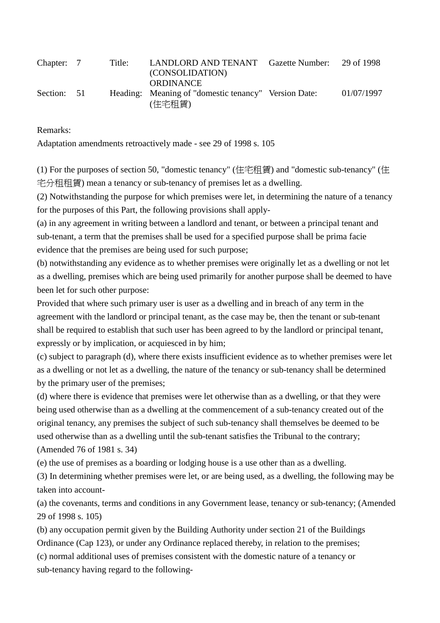| Chapter: 7  | Title: | LANDLORD AND TENANT Gazette Number:<br>(CONSOLIDATION)<br>ORDINANCE | 29 of 1998 |
|-------------|--------|---------------------------------------------------------------------|------------|
| Section: 51 |        | Heading: Meaning of "domestic tenancy" Version Date:<br>(住宅租賃)      | 01/07/1997 |

Remarks:

Adaptation amendments retroactively made - see 29 of 1998 s. 105

(1) For the purposes of section 50, "domestic tenancy" (住宅租賃) and "domestic sub-tenancy" (住 宅分租租賃) mean a tenancy or sub-tenancy of premises let as a dwelling.

(2) Notwithstanding the purpose for which premises were let, in determining the nature of a tenancy for the purposes of this Part, the following provisions shall apply-

(a) in any agreement in writing between a landlord and tenant, or between a principal tenant and sub-tenant, a term that the premises shall be used for a specified purpose shall be prima facie evidence that the premises are being used for such purpose;

(b) notwithstanding any evidence as to whether premises were originally let as a dwelling or not let as a dwelling, premises which are being used primarily for another purpose shall be deemed to have been let for such other purpose:

Provided that where such primary user is user as a dwelling and in breach of any term in the agreement with the landlord or principal tenant, as the case may be, then the tenant or sub-tenant shall be required to establish that such user has been agreed to by the landlord or principal tenant, expressly or by implication, or acquiesced in by him;

(c) subject to paragraph (d), where there exists insufficient evidence as to whether premises were let as a dwelling or not let as a dwelling, the nature of the tenancy or sub-tenancy shall be determined by the primary user of the premises;

(d) where there is evidence that premises were let otherwise than as a dwelling, or that they were being used otherwise than as a dwelling at the commencement of a sub-tenancy created out of the original tenancy, any premises the subject of such sub-tenancy shall themselves be deemed to be used otherwise than as a dwelling until the sub-tenant satisfies the Tribunal to the contrary; (Amended 76 of 1981 s. 34)

(e) the use of premises as a boarding or lodging house is a use other than as a dwelling.

(3) In determining whether premises were let, or are being used, as a dwelling, the following may be taken into account-

(a) the covenants, terms and conditions in any Government lease, tenancy or sub-tenancy; (Amended 29 of 1998 s. 105)

(b) any occupation permit given by the Building Authority under section 21 of the Buildings Ordinance (Cap 123), or under any Ordinance replaced thereby, in relation to the premises;

(c) normal additional uses of premises consistent with the domestic nature of a tenancy or sub-tenancy having regard to the following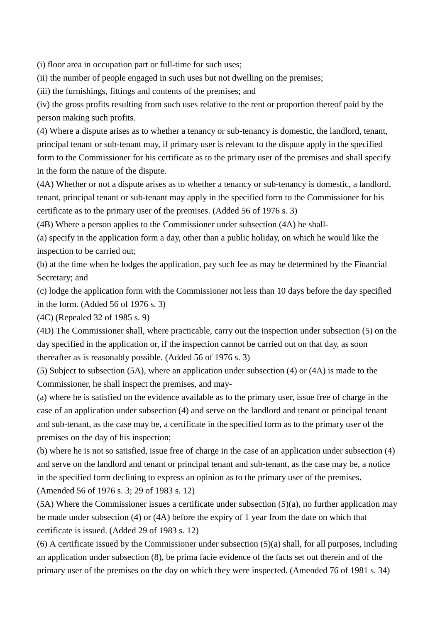(i) floor area in occupation part or full-time for such uses;

(ii) the number of people engaged in such uses but not dwelling on the premises;

(iii) the furnishings, fittings and contents of the premises; and

(iv) the gross profits resulting from such uses relative to the rent or proportion thereof paid by the person making such profits.

(4) Where a dispute arises as to whether a tenancy or sub-tenancy is domestic, the landlord, tenant, principal tenant or sub-tenant may, if primary user is relevant to the dispute apply in the specified form to the Commissioner for his certificate as to the primary user of the premises and shall specify in the form the nature of the dispute.

(4A) Whether or not a dispute arises as to whether a tenancy or sub-tenancy is domestic, a landlord, tenant, principal tenant or sub-tenant may apply in the specified form to the Commissioner for his certificate as to the primary user of the premises. (Added 56 of 1976 s. 3)

(4B) Where a person applies to the Commissioner under subsection (4A) he shall-

(a) specify in the application form a day, other than a public holiday, on which he would like the inspection to be carried out;

(b) at the time when he lodges the application, pay such fee as may be determined by the Financial Secretary; and

(c) lodge the application form with the Commissioner not less than 10 days before the day specified in the form. (Added 56 of 1976 s. 3)

(4C) (Repealed 32 of 1985 s. 9)

(4D) The Commissioner shall, where practicable, carry out the inspection under subsection (5) on the day specified in the application or, if the inspection cannot be carried out on that day, as soon thereafter as is reasonably possible. (Added 56 of 1976 s. 3)

(5) Subject to subsection (5A), where an application under subsection (4) or (4A) is made to the Commissioner, he shall inspect the premises, and may-

(a) where he is satisfied on the evidence available as to the primary user, issue free of charge in the case of an application under subsection (4) and serve on the landlord and tenant or principal tenant and sub-tenant, as the case may be, a certificate in the specified form as to the primary user of the premises on the day of his inspection;

(b) where he is not so satisfied, issue free of charge in the case of an application under subsection (4) and serve on the landlord and tenant or principal tenant and sub-tenant, as the case may be, a notice in the specified form declining to express an opinion as to the primary user of the premises.

(Amended 56 of 1976 s. 3; 29 of 1983 s. 12)

 $(5A)$  Where the Commissioner issues a certificate under subsection  $(5)(a)$ , no further application may be made under subsection (4) or (4A) before the expiry of 1 year from the date on which that certificate is issued. (Added 29 of 1983 s. 12)

(6) A certificate issued by the Commissioner under subsection (5)(a) shall, for all purposes, including an application under subsection (8), be prima facie evidence of the facts set out therein and of the primary user of the premises on the day on which they were inspected. (Amended 76 of 1981 s. 34)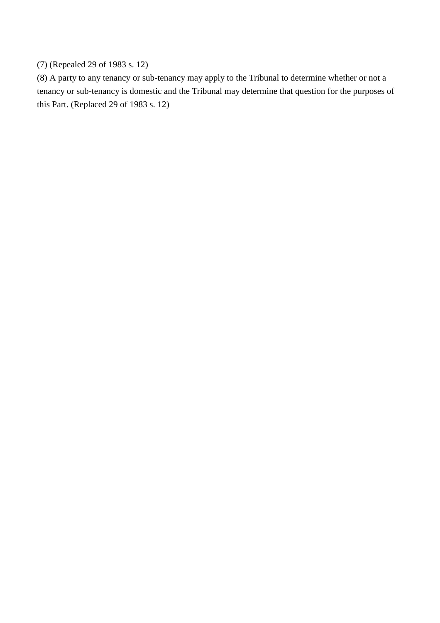# (7) (Repealed 29 of 1983 s. 12)

(8) A party to any tenancy or sub-tenancy may apply to the Tribunal to determine whether or not a tenancy or sub-tenancy is domestic and the Tribunal may determine that question for the purposes of this Part. (Replaced 29 of 1983 s. 12)